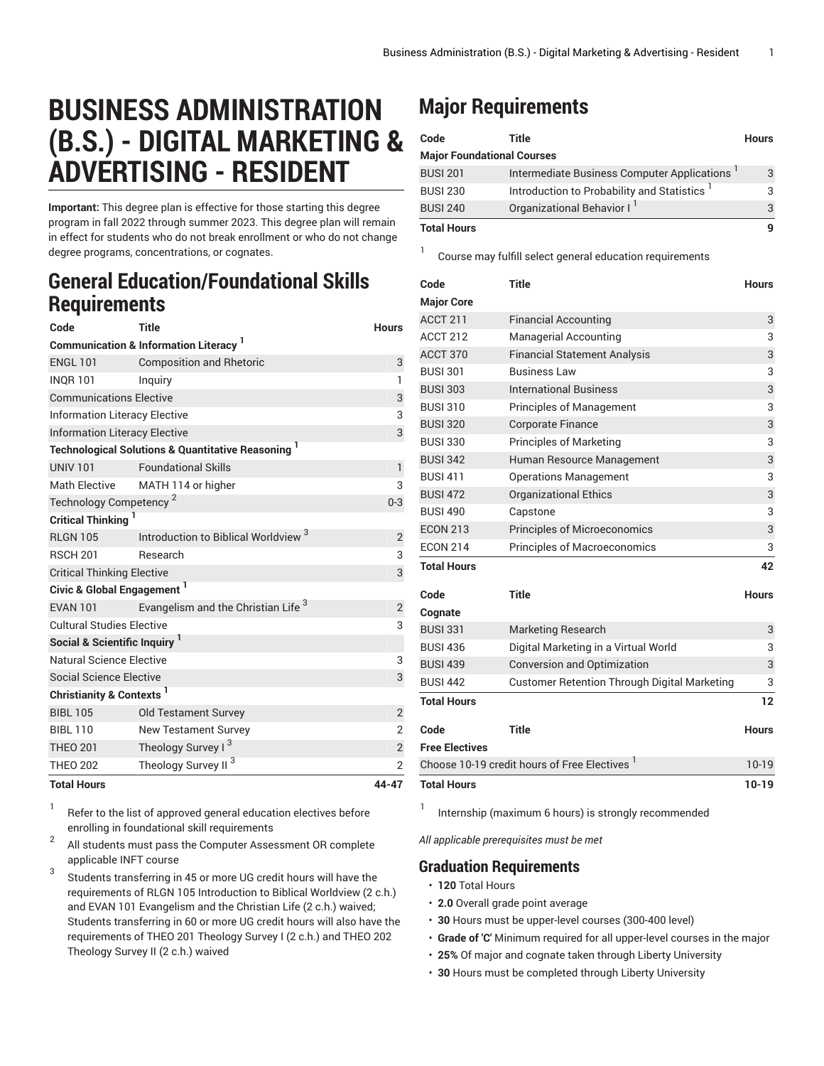# **BUSINESS ADMINISTRATION (B.S.) - DIGITAL MARKETING & ADVERTISING - RESIDENT**

**Important:** This degree plan is effective for those starting this degree program in fall 2022 through summer 2023. This degree plan will remain in effect for students who do not break enrollment or who do not change degree programs, concentrations, or cognates.

### **General Education/Foundational Skills Requirements**

| Code                                                          | Title                                           | <b>Hours</b>   |  |  |
|---------------------------------------------------------------|-------------------------------------------------|----------------|--|--|
| <b>Communication &amp; Information Literacy</b>               |                                                 |                |  |  |
| <b>ENGL 101</b>                                               | <b>Composition and Rhetoric</b>                 | 3              |  |  |
| <b>INQR101</b>                                                | Inguiry                                         | $\mathbf{1}$   |  |  |
| <b>Communications Elective</b>                                | 3                                               |                |  |  |
| <b>Information Literacy Elective</b>                          | 3                                               |                |  |  |
| <b>Information Literacy Elective</b>                          | 3                                               |                |  |  |
| <b>Technological Solutions &amp; Quantitative Reasoning 1</b> |                                                 |                |  |  |
| <b>UNIV 101</b>                                               | <b>Foundational Skills</b>                      | $\mathbf{1}$   |  |  |
| <b>Math Elective</b>                                          | MATH 114 or higher                              | 3              |  |  |
| Technology Competency <sup>2</sup>                            | $0 - 3$                                         |                |  |  |
| <b>Critical Thinking</b>                                      |                                                 |                |  |  |
| <b>RLGN 105</b>                                               | Introduction to Biblical Worldview <sup>3</sup> | $\overline{2}$ |  |  |
| <b>RSCH 201</b>                                               | Research                                        | 3              |  |  |
| <b>Critical Thinking Elective</b>                             | 3                                               |                |  |  |
| Civic & Global Engagement <sup>1</sup>                        |                                                 |                |  |  |
| <b>EVAN 101</b>                                               | Evangelism and the Christian Life <sup>3</sup>  | $\overline{2}$ |  |  |
| <b>Cultural Studies Elective</b>                              | 3                                               |                |  |  |
| Social & Scientific Inquiry <sup>1</sup>                      |                                                 |                |  |  |
| Natural Science Elective                                      | 3                                               |                |  |  |
| <b>Social Science Elective</b>                                |                                                 | 3              |  |  |
| <b>Christianity &amp; Contexts<sup>1</sup></b>                |                                                 |                |  |  |
| <b>BIBI 105</b>                                               | <b>Old Testament Survey</b>                     | $\overline{2}$ |  |  |
| <b>BIBL 110</b>                                               | <b>New Testament Survey</b>                     | $\overline{2}$ |  |  |
| <b>THEO 201</b>                                               | Theology Survey I <sup>3</sup>                  | $\mathbf{2}$   |  |  |
| <b>THEO 202</b>                                               | Theology Survey II <sup>3</sup>                 | $\overline{2}$ |  |  |
| <b>Total Hours</b>                                            |                                                 | 44-47          |  |  |

1 Refer to the list of approved general [education](https://www.liberty.edu/gened/) electives before enrolling in foundational skill requirements

2 All students must pass the [Computer Assessment](https://www.liberty.edu/computerassessment/) OR complete applicable INFT course

3 Students transferring in 45 or more UG credit hours will have the requirements of RLGN 105 Introduction to Biblical Worldview (2 c.h.) and EVAN 101 Evangelism and the Christian Life (2 c.h.) waived; Students transferring in 60 or more UG credit hours will also have the requirements of THEO 201 Theology Survey I (2 c.h.) and THEO 202 Theology Survey II (2 c.h.) waived

## **Major Requirements**

1

| Code                              | Title                                       | <b>Hours</b> |
|-----------------------------------|---------------------------------------------|--------------|
| <b>Major Foundational Courses</b> |                                             |              |
| <b>BUSI 201</b>                   | Intermediate Business Computer Applications | 3            |
| <b>BUSI 230</b>                   | Introduction to Probability and Statistics  |              |
| <b>BUSI 240</b>                   | Organizational Behavior I <sup>1</sup>      |              |
| <b>Total Hours</b>                |                                             |              |

Course may fulfill select general education [requirements](http://www.liberty.edu/academics/generalstudies/?PID=37563)

| Code                                                     | <b>Title</b>                                        | <b>Hours</b> |
|----------------------------------------------------------|-----------------------------------------------------|--------------|
| <b>Major Core</b>                                        |                                                     |              |
| ACCT 211                                                 | <b>Financial Accounting</b>                         | 3            |
| <b>ACCT 212</b>                                          | <b>Managerial Accounting</b>                        | 3            |
| ACCT 370                                                 | <b>Financial Statement Analysis</b>                 | 3            |
| <b>BUSI 301</b>                                          | <b>Business Law</b>                                 | 3            |
| <b>BUSI 303</b>                                          | <b>International Business</b>                       | 3            |
| <b>BUSI 310</b>                                          | <b>Principles of Management</b>                     | 3            |
| <b>BUSI 320</b>                                          | <b>Corporate Finance</b>                            | 3            |
| <b>BUSI 330</b>                                          | <b>Principles of Marketing</b>                      | 3            |
| <b>BUSI 342</b>                                          | Human Resource Management                           | 3            |
| <b>BUSI 411</b>                                          | <b>Operations Management</b>                        | 3            |
| <b>BUSI 472</b>                                          | <b>Organizational Ethics</b>                        | 3            |
| <b>BUSI 490</b>                                          | Capstone                                            | 3            |
| <b>ECON 213</b>                                          | Principles of Microeconomics                        | 3            |
| <b>ECON 214</b>                                          | Principles of Macroeconomics                        | 3            |
| <b>Total Hours</b>                                       |                                                     | 42           |
| Code                                                     | <b>Title</b>                                        | <b>Hours</b> |
| Cognate                                                  |                                                     |              |
| <b>BUSI 331</b>                                          | <b>Marketing Research</b>                           | 3            |
| <b>BUSI 436</b>                                          | Digital Marketing in a Virtual World                | 3            |
| <b>BUSI 439</b>                                          | <b>Conversion and Optimization</b>                  | 3            |
| <b>BUSI 442</b>                                          | <b>Customer Retention Through Digital Marketing</b> | 3            |
| <b>Total Hours</b>                                       |                                                     | 12           |
| Code                                                     | <b>Title</b>                                        | <b>Hours</b> |
| <b>Free Electives</b>                                    |                                                     |              |
| Choose 10-19 credit hours of Free Electives <sup>1</sup> |                                                     |              |
| <b>Total Hours</b>                                       |                                                     |              |

1 Internship (maximum 6 hours) is strongly recommended

*All applicable prerequisites must be met*

### **Graduation Requirements**

• **120** Total Hours

- **2.0** Overall grade point average
- **30** Hours must be upper-level courses (300-400 level)
- **Grade of 'C'** Minimum required for all upper-level courses in the major
- **25%** Of major and cognate taken through Liberty University
- **30** Hours must be completed through Liberty University